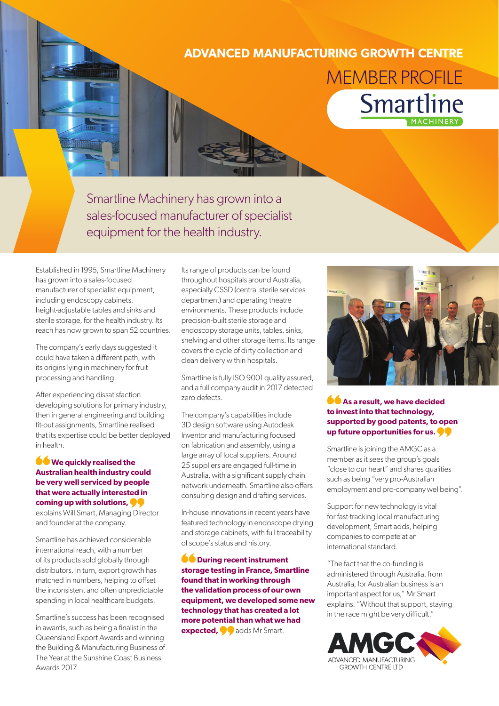## **ADVANCED MANUFACTURING GROWTH CENTRE** MEMBER PROFILE**Smartline**

Smartline Machinery has grown into a sales-focused manufacturer of specialist equipment for the health industry.

Established in 1995, Smartline Machinery has grown into a sales-focused manufacturer of specialist equipment, including endoscopy cabinets, height-adjustable tables and sinks and sterile storage, for the health industry. Its reach has now grown to span 52 countries.

The company's early days suggested it could have taken a different path, with its origins lying in machinery for fruit processing and handling.

After experiencing dissatisfaction developing solutions for primary industry, then in general engineering and building fit-out assignments, Smartline realised that its expertise could be better deployed in health.

## **We quickly realised the Australian health industry could be very well serviced by people that were actually interested in coming up with solutions,**

explains Will Smart, Managing Director and founder at the company.

Smartline has achieved considerable international reach, with a number of its products sold globally through distributors. In turn, export growth has matched in numbers, helping to offset the inconsistent and often unpredictable spending in local healthcare budgets.

Smartline's success has been recognised in awards, such as being a finalist in the Queensland Export Awards and winning the Building & Manufacturing Business of The Year at the Sunshine Coast Business Awards 2017.

Its range of products can be found throughout hospitals around Australia, especially CSSD (central sterile services department) and operating theatre environments. These products include precision-built sterile storage and endoscopy storage units, tables, sinks, shelving and other storage items. Its range covers the cycle of dirty collection and clean delivery within hospitals.

Smartline is fully ISO 9001 quality assured, and a full company audit in 2017 detected zero defects.

The company's capabilities include 3D design software using Autodesk Inventor and manufacturing focused on fabrication and assembly, using a large array of local suppliers. Around 25 suppliers are engaged full-time in Australia, with a significant supply chain network underneath. Smartline also offers consulting design and drafting services.

In-house innovations in recent years have featured technology in endoscope drying and storage cabinets, with full traceability of scope's status and history.

**CO** During recent instrument **storage testing in France, Smartline found that in working through the validation process of our own equipment, we developed some new technology that has created a lot more potential than what we had expected,**  $\bullet$  adds Mr Smart.



**As a result, we have decided to invest into that technology, supported by good patents, to open up future opportunities for us.** 

Smartline is joining the AMGC as a member as it sees the group's goals "close to our heart" and shares qualities such as being "very pro-Australian employment and pro-company wellbeing".

Support for new technology is vital for fast-tracking local manufacturing development, Smart adds, helping companies to compete at an international standard.

"The fact that the co-funding is administered through Australia, from Australia, for Australian business is an important aspect for us," Mr Smart explains. "Without that support, staying in the race might be very difficult."